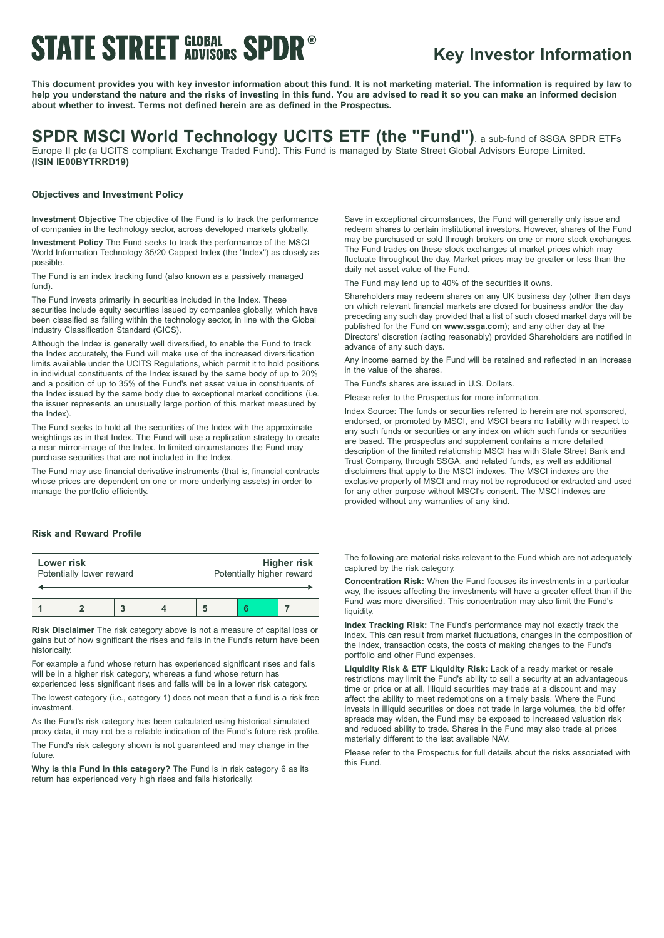# **STATE STREET GLOBAL SPDR**

## **Key Investor Information**

This document provides you with key investor information about this fund. It is not marketing material. The information is required by law to help you understand the nature and the risks of investing in this fund. You are advised to read it so you can make an informed decision **about whether to invest. Terms not defined herein are as defined in the Prospectus.**

## **SPDR MSCI World Technology UCITS ETF (the "Fund")**, <sup>a</sup> sub-fund of SSGA SPDR ETFs

Europe II plc (a UCITS compliant Exchange Traded Fund). This Fund is managed by State Street Global Advisors Europe Limited. **(ISIN IE00BYTRRD19)**

### **Objectives and Investment Policy**

**Investment Objective** The objective of the Fund is to track the performance of companies in the technology sector, across developed markets globally.

**Investment Policy** The Fund seeks to track the performance of the MSCI World Information Technology 35/20 Capped Index (the "Index") as closely as possible.

The Fund is an index tracking fund (also known as a passively managed fund)

The Fund invests primarily in securities included in the Index. These securities include equity securities issued by companies globally, which have been classified as falling within the technology sector, in line with the Global Industry Classification Standard (GICS).

Although the Index is generally well diversified, to enable the Fund to track the Index accurately, the Fund will make use of the increased diversification limits available under the UCITS Regulations, which permit it to hold positions in individual constituents of the Index issued by the same body of up to 20% and a position of up to 35% of the Fund's net asset value in constituents of the Index issued by the same body due to exceptional market conditions (i.e. the issuer represents an unusually large portion of this market measured by the Index).

The Fund seeks to hold all the securities of the Index with the approximate weightings as in that Index. The Fund will use a replication strategy to create a near mirror-image of the Index. In limited circumstances the Fund may purchase securities that are not included in the Index.

The Fund may use financial derivative instruments (that is, financial contracts whose prices are dependent on one or more underlying assets) in order to manage the portfolio efficiently.

### **Risk and Reward Profile**

| Lower risk               |  |  |  | Higher risk               |  |  |
|--------------------------|--|--|--|---------------------------|--|--|
| Potentially lower reward |  |  |  | Potentially higher reward |  |  |
|                          |  |  |  |                           |  |  |

**Risk Disclaimer** The risk category above is not a measure of capital loss or gains but of how significant the rises and falls in the Fund's return have been **historically** 

For example a fund whose return has experienced significant rises and falls will be in a higher risk category, whereas a fund whose return has experienced less significant rises and falls will be in a lower risk category.

The lowest category (i.e., category 1) does not mean that a fund is a risk free investment.

As the Fund's risk category has been calculated using historical simulated proxy data, it may not be a reliable indication of the Fund's future risk profile.

The Fund's risk category shown is not guaranteed and may change in the future

**Why is this Fund in this category?** The Fund is in risk category 6 as its return has experienced very high rises and falls historically.

Save in exceptional circumstances, the Fund will generally only issue and redeem shares to certain institutional investors. However, shares of the Fund may be purchased or sold through brokers on one or more stock exchanges. The Fund trades on these stock exchanges at market prices which may fluctuate throughout the day. Market prices may be greater or less than the daily net asset value of the Fund.

The Fund may lend up to 40% of the securities it owns.

Shareholders may redeem shares on any UK business day (other than days on which relevant financial markets are closed for business and/or the day preceding any such day provided that a list of such closed market days will be published for the Fund on **www.ssga.com**); and any other day at the Directors' discretion (acting reasonably) provided Shareholders are notified in advance of any such days.

Any income earned by the Fund will be retained and reflected in an increase in the value of the shares.

The Fund's shares are issued in U.S. Dollars.

Please refer to the Prospectus for more information.

Index Source: The funds or securities referred to herein are not sponsored, endorsed, or promoted by MSCI, and MSCI bears no liability with respect to any such funds or securities or any index on which such funds or securities are based. The prospectus and supplement contains a more detailed description of the limited relationship MSCI has with State Street Bank and Trust Company, through SSGA, and related funds, as well as additional disclaimers that apply to the MSCI indexes. The MSCI indexes are the exclusive property of MSCI and may not be reproduced or extracted and used for any other purpose without MSCI's consent. The MSCI indexes are provided without any warranties of any kind.

The following are material risks relevant to the Fund which are not adequately captured by the risk category.

**Concentration Risk:** When the Fund focuses its investments in a particular way, the issues affecting the investments will have a greater effect than if the Fund was more diversified. This concentration may also limit the Fund's liquidity.

**Index Tracking Risk:** The Fund's performance may not exactly track the Index. This can result from market fluctuations, changes in the composition of the Index, transaction costs, the costs of making changes to the Fund's portfolio and other Fund expenses.

**Liquidity Risk & ETF Liquidity Risk:** Lack of a ready market or resale restrictions may limit the Fund's ability to sell a security at an advantageous time or price or at all. Illiquid securities may trade at a discount and may affect the ability to meet redemptions on a timely basis. Where the Fund invests in illiquid securities or does not trade in large volumes, the bid offer spreads may widen, the Fund may be exposed to increased valuation risk and reduced ability to trade. Shares in the Fund may also trade at prices materially different to the last available NAV.

Please refer to the Prospectus for full details about the risks associated with this Fund.